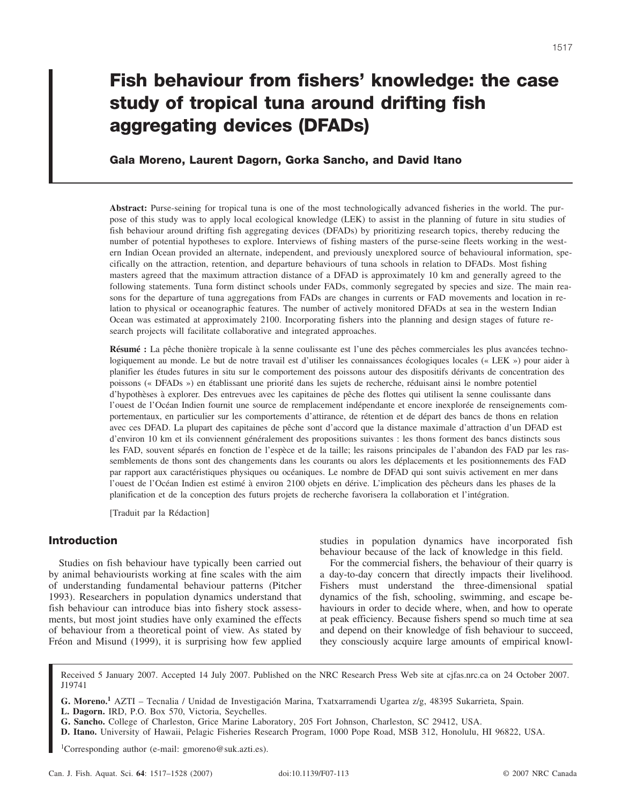# **Fish behaviour from fishers' knowledge: the case study of tropical tuna around drifting fish aggregating devices (DFADs)**

# **Gala Moreno, Laurent Dagorn, Gorka Sancho, and David Itano**

**Abstract:** Purse-seining for tropical tuna is one of the most technologically advanced fisheries in the world. The purpose of this study was to apply local ecological knowledge (LEK) to assist in the planning of future in situ studies of fish behaviour around drifting fish aggregating devices (DFADs) by prioritizing research topics, thereby reducing the number of potential hypotheses to explore. Interviews of fishing masters of the purse-seine fleets working in the western Indian Ocean provided an alternate, independent, and previously unexplored source of behavioural information, specifically on the attraction, retention, and departure behaviours of tuna schools in relation to DFADs. Most fishing masters agreed that the maximum attraction distance of a DFAD is approximately 10 km and generally agreed to the following statements. Tuna form distinct schools under FADs, commonly segregated by species and size. The main reasons for the departure of tuna aggregations from FADs are changes in currents or FAD movements and location in relation to physical or oceanographic features. The number of actively monitored DFADs at sea in the western Indian Ocean was estimated at approximately 2100. Incorporating fishers into the planning and design stages of future research projects will facilitate collaborative and integrated approaches.

**Résumé :** La pêche thonière tropicale à la senne coulissante est l'une des pêches commerciales les plus avancées technologiquement au monde. Le but de notre travail est d'utiliser les connaissances écologiques locales (« LEK ») pour aider à planifier les études futures in situ sur le comportement des poissons autour des dispositifs dérivants de concentration des poissons (« DFADs ») en établissant une priorité dans les sujets de recherche, réduisant ainsi le nombre potentiel d'hypothèses à explorer. Des entrevues avec les capitaines de pêche des flottes qui utilisent la senne coulissante dans l'ouest de l'Océan Indien fournit une source de remplacement indépendante et encore inexplorée de renseignements comportementaux, en particulier sur les comportements d'attirance, de rétention et de départ des bancs de thons en relation avec ces DFAD. La plupart des capitaines de pêche sont d'accord que la distance maximale d'attraction d'un DFAD est d'environ 10 km et ils conviennent généralement des propositions suivantes : les thons forment des bancs distincts sous les FAD, souvent séparés en fonction de l'espèce et de la taille; les raisons principales de l'abandon des FAD par les rassemblements de thons sont des changements dans les courants ou alors les déplacements et les positionnements des FAD par rapport aux caractéristiques physiques ou océaniques. Le nombre de DFAD qui sont suivis activement en mer dans l'ouest de l'Océan Indien est estimé à environ 2100 objets en dérive. L'implication des pêcheurs dans les phases de la planification et de la conception des futurs projets de recherche favorisera la collaboration et l'intégration.

[Traduit par la Rédaction]

# **Introduction**

Studies on fish behaviour have typically been carried out by animal behaviourists working at fine scales with the aim of understanding fundamental behaviour patterns (Pitcher 1993). Researchers in population dynamics understand that fish behaviour can introduce bias into fishery stock assessments, but most joint studies have only examined the effects of behaviour from a theoretical point of view. As stated by Fréon and Misund (1999), it is surprising how few applied

studies in population dynamics have incorporated fish behaviour because of the lack of knowledge in this field.

For the commercial fishers, the behaviour of their quarry is a day-to-day concern that directly impacts their livelihood. Fishers must understand the three-dimensional spatial dynamics of the fish, schooling, swimming, and escape behaviours in order to decide where, when, and how to operate at peak efficiency. Because fishers spend so much time at sea and depend on their knowledge of fish behaviour to succeed, they consciously acquire large amounts of empirical knowl-

Received 5 January 2007. Accepted 14 July 2007. Published on the NRC Research Press Web site at cjfas.nrc.ca on 24 October 2007. J19741

**G. Moreno.<sup>1</sup>** AZTI – Tecnalia / Unidad de Investigación Marina, Txatxarramendi Ugartea z/g, 48395 Sukarrieta, Spain.

- **L. Dagorn.** IRD, P.O. Box 570, Victoria, Seychelles.
- **G. Sancho.** College of Charleston, Grice Marine Laboratory, 205 Fort Johnson, Charleston, SC 29412, USA.

**D. Itano.** University of Hawaii, Pelagic Fisheries Research Program, 1000 Pope Road, MSB 312, Honolulu, HI 96822, USA.

1 Corresponding author (e-mail: gmoreno@suk.azti.es).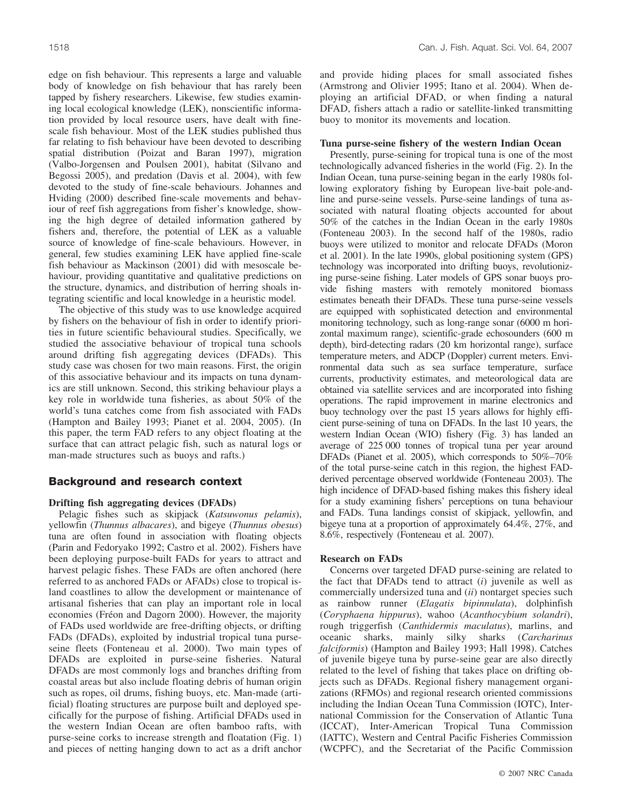edge on fish behaviour. This represents a large and valuable body of knowledge on fish behaviour that has rarely been tapped by fishery researchers. Likewise, few studies examining local ecological knowledge (LEK), nonscientific information provided by local resource users, have dealt with finescale fish behaviour. Most of the LEK studies published thus far relating to fish behaviour have been devoted to describing spatial distribution (Poizat and Baran 1997), migration (Valbo-Jorgensen and Poulsen 2001), habitat (Silvano and Begossi 2005), and predation (Davis et al. 2004), with few devoted to the study of fine-scale behaviours. Johannes and Hviding (2000) described fine-scale movements and behaviour of reef fish aggregations from fisher's knowledge, showing the high degree of detailed information gathered by fishers and, therefore, the potential of LEK as a valuable source of knowledge of fine-scale behaviours. However, in general, few studies examining LEK have applied fine-scale fish behaviour as Mackinson (2001) did with mesoscale behaviour, providing quantitative and qualitative predictions on the structure, dynamics, and distribution of herring shoals integrating scientific and local knowledge in a heuristic model.

The objective of this study was to use knowledge acquired by fishers on the behaviour of fish in order to identify priorities in future scientific behavioural studies. Specifically, we studied the associative behaviour of tropical tuna schools around drifting fish aggregating devices (DFADs). This study case was chosen for two main reasons. First, the origin of this associative behaviour and its impacts on tuna dynamics are still unknown. Second, this striking behaviour plays a key role in worldwide tuna fisheries, as about 50% of the world's tuna catches come from fish associated with FADs (Hampton and Bailey 1993; Pianet et al. 2004, 2005). (In this paper, the term FAD refers to any object floating at the surface that can attract pelagic fish, such as natural logs or man-made structures such as buoys and rafts.)

# **Background and research context**

## **Drifting fish aggregating devices (DFADs)**

Pelagic fishes such as skipjack (*Katsuwonus pelamis*), yellowfin (*Thunnus albacares*), and bigeye (*Thunnus obesus*) tuna are often found in association with floating objects (Parin and Fedoryako 1992; Castro et al. 2002). Fishers have been deploying purpose-built FADs for years to attract and harvest pelagic fishes. These FADs are often anchored (here referred to as anchored FADs or AFADs) close to tropical island coastlines to allow the development or maintenance of artisanal fisheries that can play an important role in local economies (Fréon and Dagorn 2000). However, the majority of FADs used worldwide are free-drifting objects, or drifting FADs (DFADs), exploited by industrial tropical tuna purseseine fleets (Fonteneau et al. 2000). Two main types of DFADs are exploited in purse-seine fisheries. Natural DFADs are most commonly logs and branches drifting from coastal areas but also include floating debris of human origin such as ropes, oil drums, fishing buoys, etc. Man-made (artificial) floating structures are purpose built and deployed specifically for the purpose of fishing. Artificial DFADs used in the western Indian Ocean are often bamboo rafts, with purse-seine corks to increase strength and floatation (Fig. 1) and pieces of netting hanging down to act as a drift anchor

and provide hiding places for small associated fishes (Armstrong and Olivier 1995; Itano et al. 2004). When deploying an artificial DFAD, or when finding a natural DFAD, fishers attach a radio or satellite-linked transmitting buoy to monitor its movements and location.

#### **Tuna purse-seine fishery of the western Indian Ocean**

Presently, purse-seining for tropical tuna is one of the most technologically advanced fisheries in the world (Fig. 2). In the Indian Ocean, tuna purse-seining began in the early 1980s following exploratory fishing by European live-bait pole-andline and purse-seine vessels. Purse-seine landings of tuna associated with natural floating objects accounted for about 50% of the catches in the Indian Ocean in the early 1980s (Fonteneau 2003). In the second half of the 1980s, radio buoys were utilized to monitor and relocate DFADs (Moron et al. 2001). In the late 1990s, global positioning system (GPS) technology was incorporated into drifting buoys, revolutionizing purse-seine fishing. Later models of GPS sonar buoys provide fishing masters with remotely monitored biomass estimates beneath their DFADs. These tuna purse-seine vessels are equipped with sophisticated detection and environmental monitoring technology, such as long-range sonar (6000 m horizontal maximum range), scientific-grade echosounders (600 m depth), bird-detecting radars (20 km horizontal range), surface temperature meters, and ADCP (Doppler) current meters. Environmental data such as sea surface temperature, surface currents, productivity estimates, and meteorological data are obtained via satellite services and are incorporated into fishing operations. The rapid improvement in marine electronics and buoy technology over the past 15 years allows for highly efficient purse-seining of tuna on DFADs. In the last 10 years, the western Indian Ocean (WIO) fishery (Fig. 3) has landed an average of 225 000 tonnes of tropical tuna per year around DFADs (Pianet et al. 2005), which corresponds to 50%–70% of the total purse-seine catch in this region, the highest FADderived percentage observed worldwide (Fonteneau 2003). The high incidence of DFAD-based fishing makes this fishery ideal for a study examining fishers' perceptions on tuna behaviour and FADs. Tuna landings consist of skipjack, yellowfin, and bigeye tuna at a proportion of approximately 64.4%, 27%, and 8.6%, respectively (Fonteneau et al. 2007).

## **Research on FADs**

Concerns over targeted DFAD purse-seining are related to the fact that DFADs tend to attract (*i*) juvenile as well as commercially undersized tuna and (*ii*) nontarget species such as rainbow runner (*Elagatis bipinnulata*), dolphinfish (*Coryphaena hippurus*), wahoo (*Acanthocybium solandri*), rough triggerfish (*Canthidermis maculatus*), marlins, and oceanic sharks, mainly silky sharks (*Carcharinus falciformis*) (Hampton and Bailey 1993; Hall 1998). Catches of juvenile bigeye tuna by purse-seine gear are also directly related to the level of fishing that takes place on drifting objects such as DFADs. Regional fishery management organizations (RFMOs) and regional research oriented commissions including the Indian Ocean Tuna Commission (IOTC), International Commission for the Conservation of Atlantic Tuna (ICCAT), Inter-American Tropical Tuna Commission (IATTC), Western and Central Pacific Fisheries Commission (WCPFC), and the Secretariat of the Pacific Commission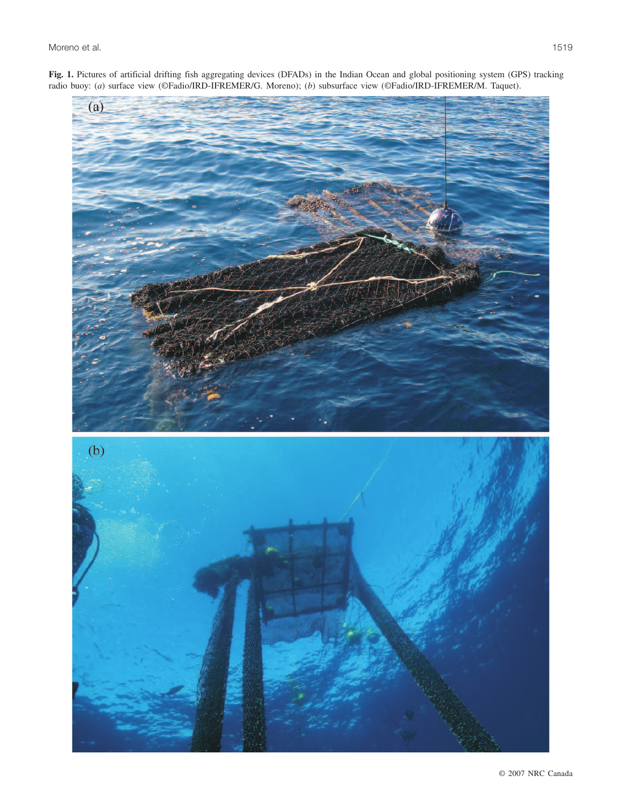

**Fig. 1.** Pictures of artificial drifting fish aggregating devices (DFADs) in the Indian Ocean and global positioning system (GPS) tracking radio buoy: (*a*) surface view (©Fadio/IRD-IFREMER/G. Moreno); (*b*) subsurface view (©Fadio/IRD-IFREMER/M. Taquet).

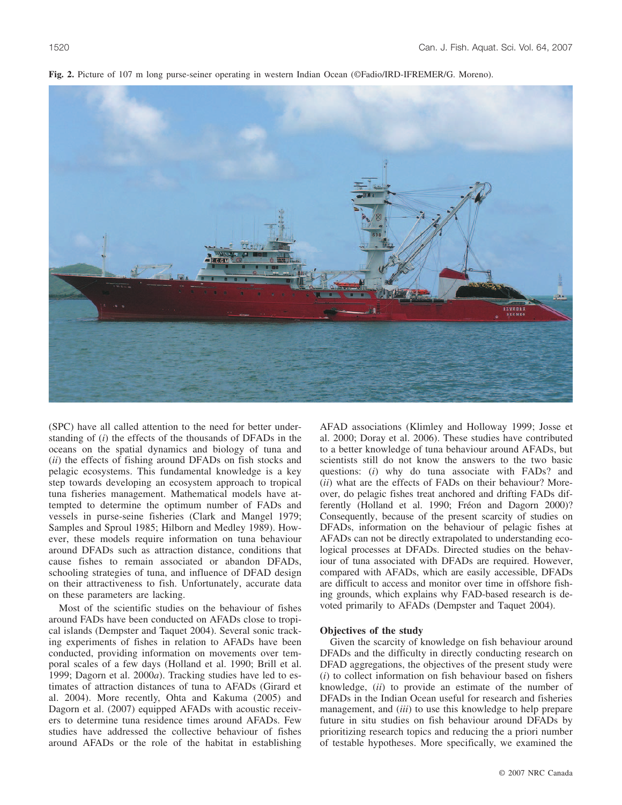

**Fig. 2.** Picture of 107 m long purse-seiner operating in western Indian Ocean (©Fadio/IRD-IFREMER/G. Moreno).

(SPC) have all called attention to the need for better understanding of (*i*) the effects of the thousands of DFADs in the oceans on the spatial dynamics and biology of tuna and (*ii*) the effects of fishing around DFADs on fish stocks and pelagic ecosystems. This fundamental knowledge is a key step towards developing an ecosystem approach to tropical tuna fisheries management. Mathematical models have attempted to determine the optimum number of FADs and vessels in purse-seine fisheries (Clark and Mangel 1979; Samples and Sproul 1985; Hilborn and Medley 1989). However, these models require information on tuna behaviour around DFADs such as attraction distance, conditions that cause fishes to remain associated or abandon DFADs, schooling strategies of tuna, and influence of DFAD design on their attractiveness to fish. Unfortunately, accurate data on these parameters are lacking.

Most of the scientific studies on the behaviour of fishes around FADs have been conducted on AFADs close to tropical islands (Dempster and Taquet 2004). Several sonic tracking experiments of fishes in relation to AFADs have been conducted, providing information on movements over temporal scales of a few days (Holland et al. 1990; Brill et al. 1999; Dagorn et al. 2000*a*). Tracking studies have led to estimates of attraction distances of tuna to AFADs (Girard et al. 2004). More recently, Ohta and Kakuma (2005) and Dagorn et al. (2007) equipped AFADs with acoustic receivers to determine tuna residence times around AFADs. Few studies have addressed the collective behaviour of fishes around AFADs or the role of the habitat in establishing AFAD associations (Klimley and Holloway 1999; Josse et al. 2000; Doray et al. 2006). These studies have contributed to a better knowledge of tuna behaviour around AFADs, but scientists still do not know the answers to the two basic questions: (*i*) why do tuna associate with FADs? and (*ii*) what are the effects of FADs on their behaviour? Moreover, do pelagic fishes treat anchored and drifting FADs differently (Holland et al. 1990; Fréon and Dagorn 2000)? Consequently, because of the present scarcity of studies on DFADs, information on the behaviour of pelagic fishes at AFADs can not be directly extrapolated to understanding ecological processes at DFADs. Directed studies on the behaviour of tuna associated with DFADs are required. However, compared with AFADs, which are easily accessible, DFADs are difficult to access and monitor over time in offshore fishing grounds, which explains why FAD-based research is devoted primarily to AFADs (Dempster and Taquet 2004).

### **Objectives of the study**

Given the scarcity of knowledge on fish behaviour around DFADs and the difficulty in directly conducting research on DFAD aggregations, the objectives of the present study were (*i*) to collect information on fish behaviour based on fishers knowledge, (*ii*) to provide an estimate of the number of DFADs in the Indian Ocean useful for research and fisheries management, and (*iii*) to use this knowledge to help prepare future in situ studies on fish behaviour around DFADs by prioritizing research topics and reducing the a priori number of testable hypotheses. More specifically, we examined the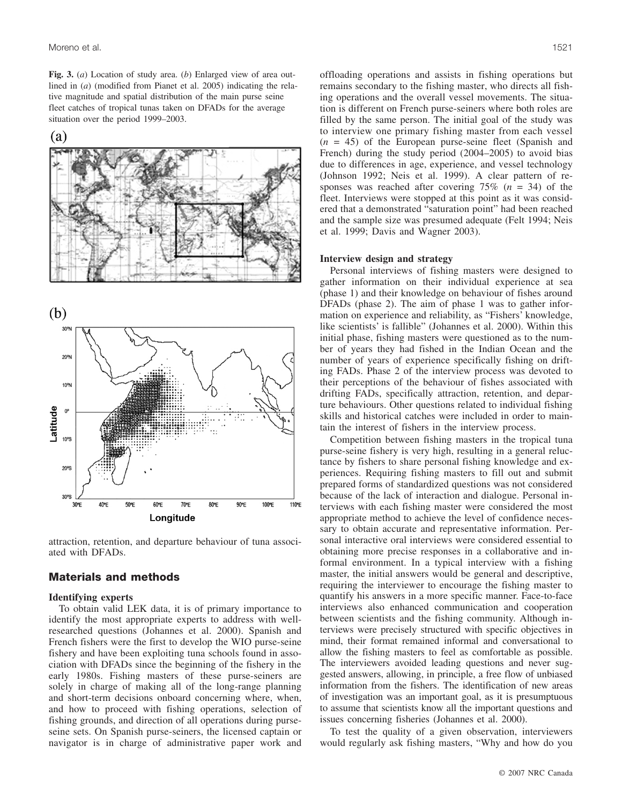**Fig. 3.** (*a*) Location of study area. (*b*) Enlarged view of area outlined in (*a*) (modified from Pianet et al. 2005) indicating the relative magnitude and spatial distribution of the main purse seine fleet catches of tropical tunas taken on DFADs for the average situation over the period 1999–2003.

(a)





attraction, retention, and departure behaviour of tuna associated with DFADs.

# **Materials and methods**

#### **Identifying experts**

To obtain valid LEK data, it is of primary importance to identify the most appropriate experts to address with wellresearched questions (Johannes et al. 2000). Spanish and French fishers were the first to develop the WIO purse-seine fishery and have been exploiting tuna schools found in association with DFADs since the beginning of the fishery in the early 1980s. Fishing masters of these purse-seiners are solely in charge of making all of the long-range planning and short-term decisions onboard concerning where, when, and how to proceed with fishing operations, selection of fishing grounds, and direction of all operations during purseseine sets. On Spanish purse-seiners, the licensed captain or navigator is in charge of administrative paper work and offloading operations and assists in fishing operations but remains secondary to the fishing master, who directs all fishing operations and the overall vessel movements. The situation is different on French purse-seiners where both roles are filled by the same person. The initial goal of the study was to interview one primary fishing master from each vessel  $(n = 45)$  of the European purse-seine fleet (Spanish and French) during the study period (2004–2005) to avoid bias due to differences in age, experience, and vessel technology (Johnson 1992; Neis et al. 1999). A clear pattern of responses was reached after covering 75% (*n* = 34) of the fleet. Interviews were stopped at this point as it was considered that a demonstrated "saturation point" had been reached and the sample size was presumed adequate (Felt 1994; Neis et al. 1999; Davis and Wagner 2003).

#### **Interview design and strategy**

Personal interviews of fishing masters were designed to gather information on their individual experience at sea (phase 1) and their knowledge on behaviour of fishes around DFADs (phase 2). The aim of phase 1 was to gather information on experience and reliability, as "Fishers' knowledge, like scientists' is fallible" (Johannes et al. 2000). Within this initial phase, fishing masters were questioned as to the number of years they had fished in the Indian Ocean and the number of years of experience specifically fishing on drifting FADs. Phase 2 of the interview process was devoted to their perceptions of the behaviour of fishes associated with drifting FADs, specifically attraction, retention, and departure behaviours. Other questions related to individual fishing skills and historical catches were included in order to maintain the interest of fishers in the interview process.

Competition between fishing masters in the tropical tuna purse-seine fishery is very high, resulting in a general reluctance by fishers to share personal fishing knowledge and experiences. Requiring fishing masters to fill out and submit prepared forms of standardized questions was not considered because of the lack of interaction and dialogue. Personal interviews with each fishing master were considered the most appropriate method to achieve the level of confidence necessary to obtain accurate and representative information. Personal interactive oral interviews were considered essential to obtaining more precise responses in a collaborative and informal environment. In a typical interview with a fishing master, the initial answers would be general and descriptive, requiring the interviewer to encourage the fishing master to quantify his answers in a more specific manner. Face-to-face interviews also enhanced communication and cooperation between scientists and the fishing community. Although interviews were precisely structured with specific objectives in mind, their format remained informal and conversational to allow the fishing masters to feel as comfortable as possible. The interviewers avoided leading questions and never suggested answers, allowing, in principle, a free flow of unbiased information from the fishers. The identification of new areas of investigation was an important goal, as it is presumptuous to assume that scientists know all the important questions and issues concerning fisheries (Johannes et al. 2000).

To test the quality of a given observation, interviewers would regularly ask fishing masters, "Why and how do you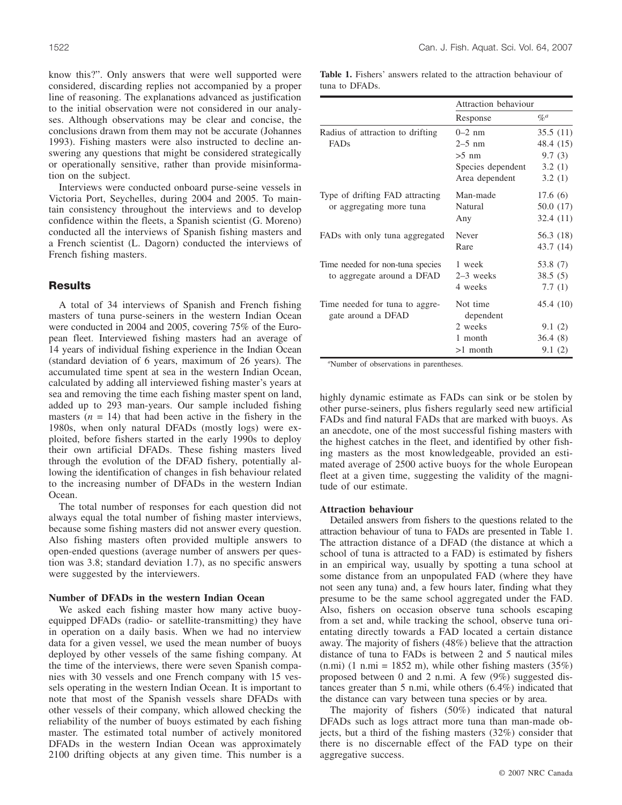know this?". Only answers that were well supported were considered, discarding replies not accompanied by a proper line of reasoning. The explanations advanced as justification to the initial observation were not considered in our analyses. Although observations may be clear and concise, the conclusions drawn from them may not be accurate (Johannes 1993). Fishing masters were also instructed to decline answering any questions that might be considered strategically or operationally sensitive, rather than provide misinformation on the subject.

Interviews were conducted onboard purse-seine vessels in Victoria Port, Seychelles, during 2004 and 2005. To maintain consistency throughout the interviews and to develop confidence within the fleets, a Spanish scientist (G. Moreno) conducted all the interviews of Spanish fishing masters and a French scientist (L. Dagorn) conducted the interviews of French fishing masters.

# **Results**

A total of 34 interviews of Spanish and French fishing masters of tuna purse-seiners in the western Indian Ocean were conducted in 2004 and 2005, covering 75% of the European fleet. Interviewed fishing masters had an average of 14 years of individual fishing experience in the Indian Ocean (standard deviation of 6 years, maximum of 26 years). The accumulated time spent at sea in the western Indian Ocean, calculated by adding all interviewed fishing master's years at sea and removing the time each fishing master spent on land, added up to 293 man-years. Our sample included fishing masters  $(n = 14)$  that had been active in the fishery in the 1980s, when only natural DFADs (mostly logs) were exploited, before fishers started in the early 1990s to deploy their own artificial DFADs. These fishing masters lived through the evolution of the DFAD fishery, potentially allowing the identification of changes in fish behaviour related to the increasing number of DFADs in the western Indian Ocean.

The total number of responses for each question did not always equal the total number of fishing master interviews, because some fishing masters did not answer every question. Also fishing masters often provided multiple answers to open-ended questions (average number of answers per question was 3.8; standard deviation 1.7), as no specific answers were suggested by the interviewers.

## **Number of DFADs in the western Indian Ocean**

We asked each fishing master how many active buoyequipped DFADs (radio- or satellite-transmitting) they have in operation on a daily basis. When we had no interview data for a given vessel, we used the mean number of buoys deployed by other vessels of the same fishing company. At the time of the interviews, there were seven Spanish companies with 30 vessels and one French company with 15 vessels operating in the western Indian Ocean. It is important to note that most of the Spanish vessels share DFADs with other vessels of their company, which allowed checking the reliability of the number of buoys estimated by each fishing master. The estimated total number of actively monitored DFADs in the western Indian Ocean was approximately 2100 drifting objects at any given time. This number is a

**Table 1.** Fishers' answers related to the attraction behaviour of tuna to DFADs.

|                                                      | Attraction behaviour |           |
|------------------------------------------------------|----------------------|-----------|
|                                                      | Response             | $\%^a$    |
| Radius of attraction to drifting                     | $0 - 2$ nm           | 35.5(11)  |
| <b>FADs</b>                                          | $2 - 5$ nm           | 48.4 (15) |
|                                                      | $>5$ nm              | 9.7(3)    |
|                                                      | Species dependent    | 3.2(1)    |
|                                                      | Area dependent       | 3.2(1)    |
| Type of drifting FAD attracting                      | Man-made             | 17.6(6)   |
| or aggregating more tuna                             | Natural              | 50.0 (17) |
|                                                      | Any                  | 32.4(11)  |
| FADs with only tuna aggregated                       | Never                | 56.3 (18) |
|                                                      | Rare                 | 43.7 (14) |
| Time needed for non-tuna species                     | 1 week               | 53.8 (7)  |
| to aggregate around a DFAD                           | $2-3$ weeks          | 38.5(5)   |
|                                                      | 4 weeks              | 7.7(1)    |
| Time needed for tuna to aggre-<br>gate around a DFAD | Not time             | 45.4 (10) |
|                                                      | dependent            |           |
|                                                      | 2 weeks              | 9.1(2)    |
|                                                      | 1 month              | 36.4(8)   |
|                                                      | $>1$ month           | 9.1(2)    |

*a* Number of observations in parentheses.

highly dynamic estimate as FADs can sink or be stolen by other purse-seiners, plus fishers regularly seed new artificial FADs and find natural FADs that are marked with buoys. As an anecdote, one of the most successful fishing masters with the highest catches in the fleet, and identified by other fishing masters as the most knowledgeable, provided an estimated average of 2500 active buoys for the whole European fleet at a given time, suggesting the validity of the magnitude of our estimate.

## **Attraction behaviour**

Detailed answers from fishers to the questions related to the attraction behaviour of tuna to FADs are presented in Table 1. The attraction distance of a DFAD (the distance at which a school of tuna is attracted to a FAD) is estimated by fishers in an empirical way, usually by spotting a tuna school at some distance from an unpopulated FAD (where they have not seen any tuna) and, a few hours later, finding what they presume to be the same school aggregated under the FAD. Also, fishers on occasion observe tuna schools escaping from a set and, while tracking the school, observe tuna orientating directly towards a FAD located a certain distance away. The majority of fishers (48%) believe that the attraction distance of tuna to FADs is between 2 and 5 nautical miles  $(n,mi)$  (1 n.mi = 1852 m), while other fishing masters (35%) proposed between 0 and 2 n.mi. A few (9%) suggested distances greater than 5 n.mi, while others (6.4%) indicated that the distance can vary between tuna species or by area.

The majority of fishers (50%) indicated that natural DFADs such as logs attract more tuna than man-made objects, but a third of the fishing masters (32%) consider that there is no discernable effect of the FAD type on their aggregative success.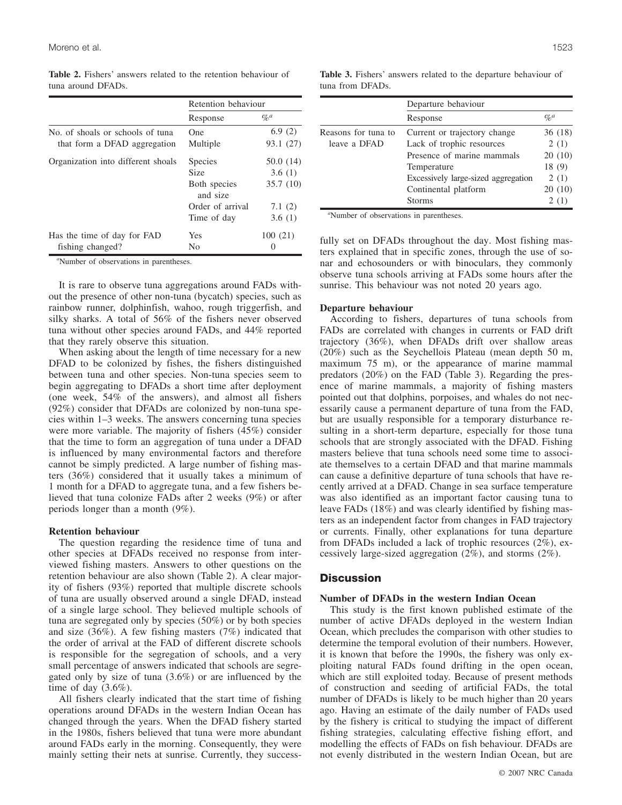|                                    | Retention behaviour      |                       |
|------------------------------------|--------------------------|-----------------------|
|                                    | Response                 | $\alpha$ <sup>a</sup> |
| No. of shoals or schools of tuna   | One                      | 6.9(2)                |
| that form a DFAD aggregation       | Multiple                 | 93.1 (27)             |
| Organization into different shoals | <b>Species</b>           | 50.0 (14)             |
|                                    | <b>Size</b>              | 3.6(1)                |
|                                    | Both species<br>and size | 35.7(10)              |
|                                    | Order of arrival         | 7.1(2)                |
|                                    | Time of day              | 3.6(1)                |
| Has the time of day for FAD        | Yes                      | 100(21)               |
| fishing changed?                   | No                       |                       |

**Table 2.** Fishers' answers related to the retention behaviour of tuna around DFADs.

*a* Number of observations in parentheses.

It is rare to observe tuna aggregations around FADs without the presence of other non-tuna (bycatch) species, such as rainbow runner, dolphinfish, wahoo, rough triggerfish, and silky sharks. A total of 56% of the fishers never observed tuna without other species around FADs, and 44% reported that they rarely observe this situation.

When asking about the length of time necessary for a new DFAD to be colonized by fishes, the fishers distinguished between tuna and other species. Non-tuna species seem to begin aggregating to DFADs a short time after deployment (one week, 54% of the answers), and almost all fishers (92%) consider that DFADs are colonized by non-tuna species within 1–3 weeks. The answers concerning tuna species were more variable. The majority of fishers (45%) consider that the time to form an aggregation of tuna under a DFAD is influenced by many environmental factors and therefore cannot be simply predicted. A large number of fishing masters (36%) considered that it usually takes a minimum of 1 month for a DFAD to aggregate tuna, and a few fishers believed that tuna colonize FADs after 2 weeks (9%) or after periods longer than a month (9%).

#### **Retention behaviour**

The question regarding the residence time of tuna and other species at DFADs received no response from interviewed fishing masters. Answers to other questions on the retention behaviour are also shown (Table 2). A clear majority of fishers (93%) reported that multiple discrete schools of tuna are usually observed around a single DFAD, instead of a single large school. They believed multiple schools of tuna are segregated only by species (50%) or by both species and size (36%). A few fishing masters (7%) indicated that the order of arrival at the FAD of different discrete schools is responsible for the segregation of schools, and a very small percentage of answers indicated that schools are segregated only by size of tuna (3.6%) or are influenced by the time of day (3.6%).

All fishers clearly indicated that the start time of fishing operations around DFADs in the western Indian Ocean has changed through the years. When the DFAD fishery started in the 1980s, fishers believed that tuna were more abundant around FADs early in the morning. Consequently, they were mainly setting their nets at sunrise. Currently, they success-

**Table 3.** Fishers' answers related to the departure behaviour of tuna from DFADs.

|                     | Departure behaviour                 |            |  |
|---------------------|-------------------------------------|------------|--|
|                     | Response                            | $\alpha_a$ |  |
| Reasons for tuna to | Current or trajectory change        | 36(18)     |  |
| leave a DFAD        | Lack of trophic resources           | 2(1)       |  |
|                     | Presence of marine mammals          | 20(10)     |  |
|                     | Temperature                         | 18(9)      |  |
|                     | Excessively large-sized aggregation | 2(1)       |  |
|                     | Continental platform                | 20(10)     |  |
|                     | <b>Storms</b>                       | 2(1)       |  |

*a* Number of observations in parentheses.

fully set on DFADs throughout the day. Most fishing masters explained that in specific zones, through the use of sonar and echosounders or with binoculars, they commonly observe tuna schools arriving at FADs some hours after the sunrise. This behaviour was not noted 20 years ago.

## **Departure behaviour**

According to fishers, departures of tuna schools from FADs are correlated with changes in currents or FAD drift trajectory (36%), when DFADs drift over shallow areas (20%) such as the Seychellois Plateau (mean depth 50 m, maximum 75 m), or the appearance of marine mammal predators (20%) on the FAD (Table 3). Regarding the presence of marine mammals, a majority of fishing masters pointed out that dolphins, porpoises, and whales do not necessarily cause a permanent departure of tuna from the FAD, but are usually responsible for a temporary disturbance resulting in a short-term departure, especially for those tuna schools that are strongly associated with the DFAD. Fishing masters believe that tuna schools need some time to associate themselves to a certain DFAD and that marine mammals can cause a definitive departure of tuna schools that have recently arrived at a DFAD. Change in sea surface temperature was also identified as an important factor causing tuna to leave FADs (18%) and was clearly identified by fishing masters as an independent factor from changes in FAD trajectory or currents. Finally, other explanations for tuna departure from DFADs included a lack of trophic resources (2%), excessively large-sized aggregation (2%), and storms (2%).

# **Discussion**

## **Number of DFADs in the western Indian Ocean**

This study is the first known published estimate of the number of active DFADs deployed in the western Indian Ocean, which precludes the comparison with other studies to determine the temporal evolution of their numbers. However, it is known that before the 1990s, the fishery was only exploiting natural FADs found drifting in the open ocean, which are still exploited today. Because of present methods of construction and seeding of artificial FADs, the total number of DFADs is likely to be much higher than 20 years ago. Having an estimate of the daily number of FADs used by the fishery is critical to studying the impact of different fishing strategies, calculating effective fishing effort, and modelling the effects of FADs on fish behaviour. DFADs are not evenly distributed in the western Indian Ocean, but are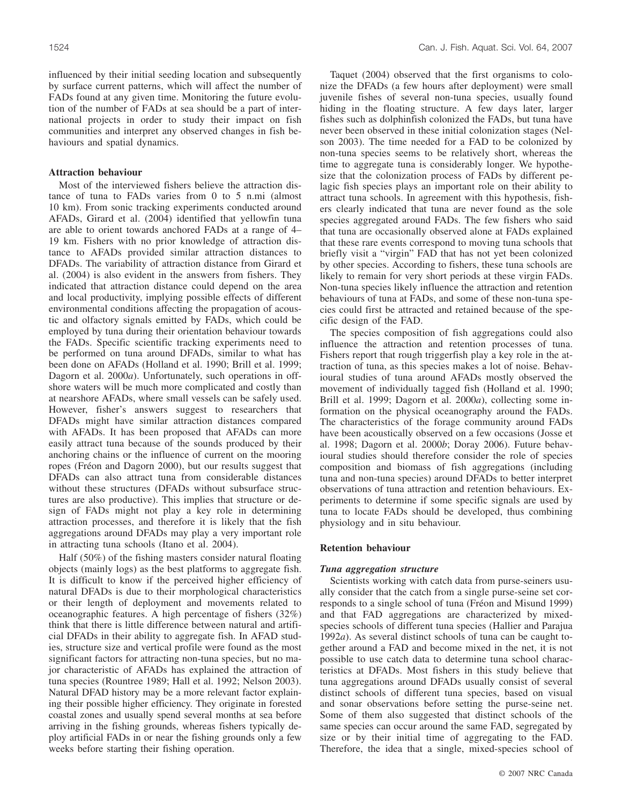influenced by their initial seeding location and subsequently by surface current patterns, which will affect the number of FADs found at any given time. Monitoring the future evolution of the number of FADs at sea should be a part of international projects in order to study their impact on fish communities and interpret any observed changes in fish behaviours and spatial dynamics.

## **Attraction behaviour**

Most of the interviewed fishers believe the attraction distance of tuna to FADs varies from 0 to 5 n.mi (almost 10 km). From sonic tracking experiments conducted around AFADs, Girard et al. (2004) identified that yellowfin tuna are able to orient towards anchored FADs at a range of 4– 19 km. Fishers with no prior knowledge of attraction distance to AFADs provided similar attraction distances to DFADs. The variability of attraction distance from Girard et al. (2004) is also evident in the answers from fishers. They indicated that attraction distance could depend on the area and local productivity, implying possible effects of different environmental conditions affecting the propagation of acoustic and olfactory signals emitted by FADs, which could be employed by tuna during their orientation behaviour towards the FADs. Specific scientific tracking experiments need to be performed on tuna around DFADs, similar to what has been done on AFADs (Holland et al. 1990; Brill et al. 1999; Dagorn et al. 2000*a*). Unfortunately, such operations in offshore waters will be much more complicated and costly than at nearshore AFADs, where small vessels can be safely used. However, fisher's answers suggest to researchers that DFADs might have similar attraction distances compared with AFADs. It has been proposed that AFADs can more easily attract tuna because of the sounds produced by their anchoring chains or the influence of current on the mooring ropes (Fréon and Dagorn 2000), but our results suggest that DFADs can also attract tuna from considerable distances without these structures (DFADs without subsurface structures are also productive). This implies that structure or design of FADs might not play a key role in determining attraction processes, and therefore it is likely that the fish aggregations around DFADs may play a very important role in attracting tuna schools (Itano et al. 2004).

Half (50%) of the fishing masters consider natural floating objects (mainly logs) as the best platforms to aggregate fish. It is difficult to know if the perceived higher efficiency of natural DFADs is due to their morphological characteristics or their length of deployment and movements related to oceanographic features. A high percentage of fishers (32%) think that there is little difference between natural and artificial DFADs in their ability to aggregate fish. In AFAD studies, structure size and vertical profile were found as the most significant factors for attracting non-tuna species, but no major characteristic of AFADs has explained the attraction of tuna species (Rountree 1989; Hall et al. 1992; Nelson 2003). Natural DFAD history may be a more relevant factor explaining their possible higher efficiency. They originate in forested coastal zones and usually spend several months at sea before arriving in the fishing grounds, whereas fishers typically deploy artificial FADs in or near the fishing grounds only a few weeks before starting their fishing operation.

Taquet (2004) observed that the first organisms to colonize the DFADs (a few hours after deployment) were small juvenile fishes of several non-tuna species, usually found hiding in the floating structure. A few days later, larger fishes such as dolphinfish colonized the FADs, but tuna have never been observed in these initial colonization stages (Nelson 2003). The time needed for a FAD to be colonized by non-tuna species seems to be relatively short, whereas the time to aggregate tuna is considerably longer. We hypothesize that the colonization process of FADs by different pelagic fish species plays an important role on their ability to attract tuna schools. In agreement with this hypothesis, fishers clearly indicated that tuna are never found as the sole species aggregated around FADs. The few fishers who said that tuna are occasionally observed alone at FADs explained that these rare events correspond to moving tuna schools that briefly visit a "virgin" FAD that has not yet been colonized by other species. According to fishers, these tuna schools are likely to remain for very short periods at these virgin FADs. Non-tuna species likely influence the attraction and retention behaviours of tuna at FADs, and some of these non-tuna species could first be attracted and retained because of the specific design of the FAD.

The species composition of fish aggregations could also influence the attraction and retention processes of tuna. Fishers report that rough triggerfish play a key role in the attraction of tuna, as this species makes a lot of noise. Behavioural studies of tuna around AFADs mostly observed the movement of individually tagged fish (Holland et al. 1990; Brill et al. 1999; Dagorn et al. 2000*a*), collecting some information on the physical oceanography around the FADs. The characteristics of the forage community around FADs have been acoustically observed on a few occasions (Josse et al. 1998; Dagorn et al. 2000*b*; Doray 2006). Future behavioural studies should therefore consider the role of species composition and biomass of fish aggregations (including tuna and non-tuna species) around DFADs to better interpret observations of tuna attraction and retention behaviours. Experiments to determine if some specific signals are used by tuna to locate FADs should be developed, thus combining physiology and in situ behaviour.

#### **Retention behaviour**

## *Tuna aggregation structure*

Scientists working with catch data from purse-seiners usually consider that the catch from a single purse-seine set corresponds to a single school of tuna (Fréon and Misund 1999) and that FAD aggregations are characterized by mixedspecies schools of different tuna species (Hallier and Parajua 1992*a*). As several distinct schools of tuna can be caught together around a FAD and become mixed in the net, it is not possible to use catch data to determine tuna school characteristics at DFADs. Most fishers in this study believe that tuna aggregations around DFADs usually consist of several distinct schools of different tuna species, based on visual and sonar observations before setting the purse-seine net. Some of them also suggested that distinct schools of the same species can occur around the same FAD, segregated by size or by their initial time of aggregating to the FAD. Therefore, the idea that a single, mixed-species school of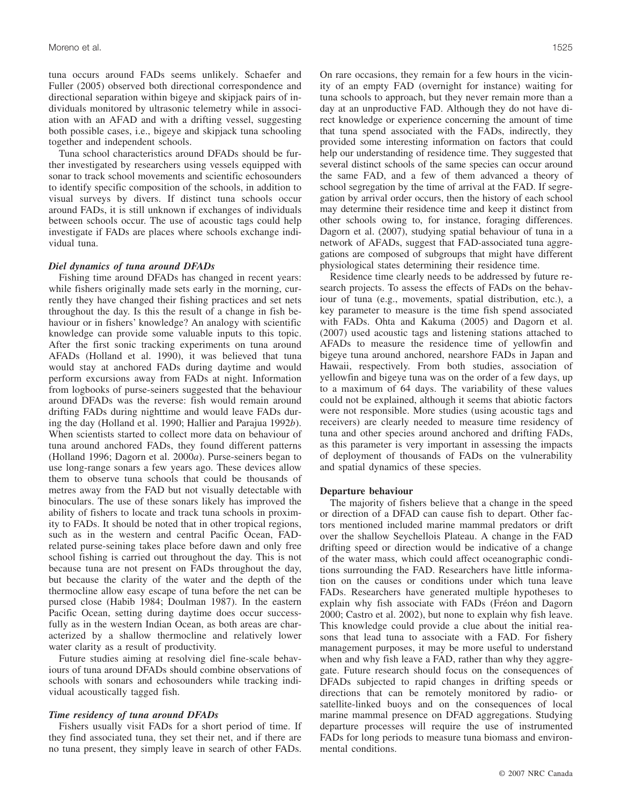tuna occurs around FADs seems unlikely. Schaefer and Fuller (2005) observed both directional correspondence and directional separation within bigeye and skipjack pairs of individuals monitored by ultrasonic telemetry while in association with an AFAD and with a drifting vessel, suggesting both possible cases, i.e., bigeye and skipjack tuna schooling together and independent schools.

Tuna school characteristics around DFADs should be further investigated by researchers using vessels equipped with sonar to track school movements and scientific echosounders to identify specific composition of the schools, in addition to visual surveys by divers. If distinct tuna schools occur around FADs, it is still unknown if exchanges of individuals between schools occur. The use of acoustic tags could help investigate if FADs are places where schools exchange individual tuna.

#### *Diel dynamics of tuna around DFADs*

Fishing time around DFADs has changed in recent years: while fishers originally made sets early in the morning, currently they have changed their fishing practices and set nets throughout the day. Is this the result of a change in fish behaviour or in fishers' knowledge? An analogy with scientific knowledge can provide some valuable inputs to this topic. After the first sonic tracking experiments on tuna around AFADs (Holland et al. 1990), it was believed that tuna would stay at anchored FADs during daytime and would perform excursions away from FADs at night. Information from logbooks of purse-seiners suggested that the behaviour around DFADs was the reverse: fish would remain around drifting FADs during nighttime and would leave FADs during the day (Holland et al. 1990; Hallier and Parajua 1992*b*). When scientists started to collect more data on behaviour of tuna around anchored FADs, they found different patterns (Holland 1996; Dagorn et al. 2000*a*). Purse-seiners began to use long-range sonars a few years ago. These devices allow them to observe tuna schools that could be thousands of metres away from the FAD but not visually detectable with binoculars. The use of these sonars likely has improved the ability of fishers to locate and track tuna schools in proximity to FADs. It should be noted that in other tropical regions, such as in the western and central Pacific Ocean, FADrelated purse-seining takes place before dawn and only free school fishing is carried out throughout the day. This is not because tuna are not present on FADs throughout the day, but because the clarity of the water and the depth of the thermocline allow easy escape of tuna before the net can be pursed close (Habib 1984; Doulman 1987). In the eastern Pacific Ocean, setting during daytime does occur successfully as in the western Indian Ocean, as both areas are characterized by a shallow thermocline and relatively lower water clarity as a result of productivity.

Future studies aiming at resolving diel fine-scale behaviours of tuna around DFADs should combine observations of schools with sonars and echosounders while tracking individual acoustically tagged fish.

## *Time residency of tuna around DFADs*

Fishers usually visit FADs for a short period of time. If they find associated tuna, they set their net, and if there are no tuna present, they simply leave in search of other FADs. On rare occasions, they remain for a few hours in the vicinity of an empty FAD (overnight for instance) waiting for tuna schools to approach, but they never remain more than a day at an unproductive FAD. Although they do not have direct knowledge or experience concerning the amount of time that tuna spend associated with the FADs, indirectly, they provided some interesting information on factors that could help our understanding of residence time. They suggested that several distinct schools of the same species can occur around the same FAD, and a few of them advanced a theory of school segregation by the time of arrival at the FAD. If segregation by arrival order occurs, then the history of each school may determine their residence time and keep it distinct from other schools owing to, for instance, foraging differences. Dagorn et al. (2007), studying spatial behaviour of tuna in a network of AFADs, suggest that FAD-associated tuna aggregations are composed of subgroups that might have different physiological states determining their residence time.

Residence time clearly needs to be addressed by future research projects. To assess the effects of FADs on the behaviour of tuna (e.g., movements, spatial distribution, etc.), a key parameter to measure is the time fish spend associated with FADs. Ohta and Kakuma (2005) and Dagorn et al. (2007) used acoustic tags and listening stations attached to AFADs to measure the residence time of yellowfin and bigeye tuna around anchored, nearshore FADs in Japan and Hawaii, respectively. From both studies, association of yellowfin and bigeye tuna was on the order of a few days, up to a maximum of 64 days. The variability of these values could not be explained, although it seems that abiotic factors were not responsible. More studies (using acoustic tags and receivers) are clearly needed to measure time residency of tuna and other species around anchored and drifting FADs, as this parameter is very important in assessing the impacts of deployment of thousands of FADs on the vulnerability and spatial dynamics of these species.

#### **Departure behaviour**

The majority of fishers believe that a change in the speed or direction of a DFAD can cause fish to depart. Other factors mentioned included marine mammal predators or drift over the shallow Seychellois Plateau. A change in the FAD drifting speed or direction would be indicative of a change of the water mass, which could affect oceanographic conditions surrounding the FAD. Researchers have little information on the causes or conditions under which tuna leave FADs. Researchers have generated multiple hypotheses to explain why fish associate with FADs (Fréon and Dagorn 2000; Castro et al. 2002), but none to explain why fish leave. This knowledge could provide a clue about the initial reasons that lead tuna to associate with a FAD. For fishery management purposes, it may be more useful to understand when and why fish leave a FAD, rather than why they aggregate. Future research should focus on the consequences of DFADs subjected to rapid changes in drifting speeds or directions that can be remotely monitored by radio- or satellite-linked buoys and on the consequences of local marine mammal presence on DFAD aggregations. Studying departure processes will require the use of instrumented FADs for long periods to measure tuna biomass and environmental conditions.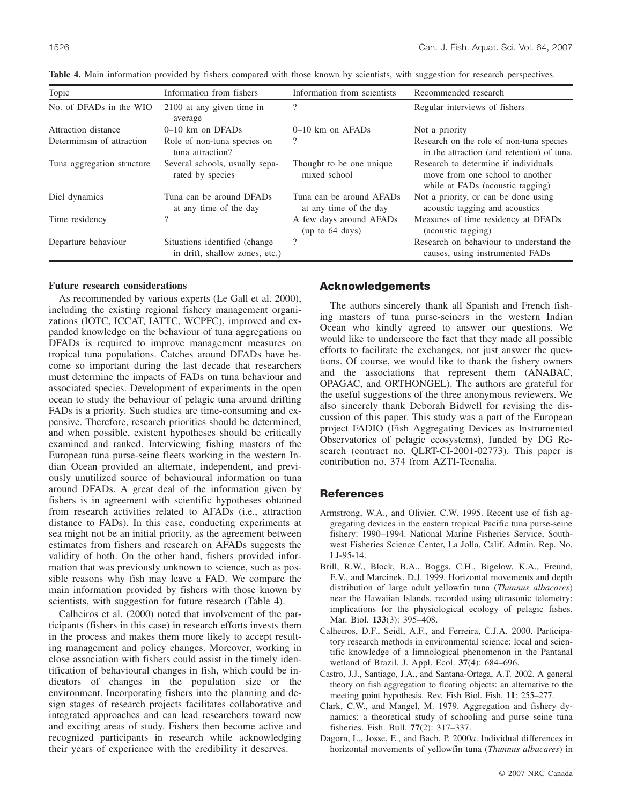| Topic                      | Information from fishers                                         | Information from scientists                        | Recommended research                                                                                        |
|----------------------------|------------------------------------------------------------------|----------------------------------------------------|-------------------------------------------------------------------------------------------------------------|
| No. of DFADs in the WIO    | 2100 at any given time in<br>average                             | $\overline{\mathcal{C}}$                           | Regular interviews of fishers                                                                               |
| Attraction distance        | $0-10$ km on DFADs                                               | $0-10$ km on AFADs                                 | Not a priority                                                                                              |
| Determinism of attraction  | Role of non-tuna species on<br>tuna attraction?                  | $\overline{?}$                                     | Research on the role of non-tuna species<br>in the attraction (and retention) of tuna.                      |
| Tuna aggregation structure | Several schools, usually sepa-<br>rated by species               | Thought to be one unique.<br>mixed school          | Research to determine if individuals<br>move from one school to another<br>while at FADs (acoustic tagging) |
| Diel dynamics              | Tuna can be around DFADs<br>at any time of the day               | Tuna can be around AFADs<br>at any time of the day | Not a priority, or can be done using<br>acoustic tagging and acoustics                                      |
| Time residency             | $\overline{\cdot}$                                               | A few days around AFADs<br>(up to 64 days)         | Measures of time residency at DFADs<br>(acoustic tagging)                                                   |
| Departure behaviour        | Situations identified (change)<br>in drift, shallow zones, etc.) | ?                                                  | Research on behaviour to understand the<br>causes, using instrumented FADs                                  |

**Table 4.** Main information provided by fishers compared with those known by scientists, with suggestion for research perspectives.

## **Future research considerations**

As recommended by various experts (Le Gall et al. 2000), including the existing regional fishery management organizations (IOTC, ICCAT, IATTC, WCPFC), improved and expanded knowledge on the behaviour of tuna aggregations on DFADs is required to improve management measures on tropical tuna populations. Catches around DFADs have become so important during the last decade that researchers must determine the impacts of FADs on tuna behaviour and associated species. Development of experiments in the open ocean to study the behaviour of pelagic tuna around drifting FADs is a priority. Such studies are time-consuming and expensive. Therefore, research priorities should be determined, and when possible, existent hypotheses should be critically examined and ranked. Interviewing fishing masters of the European tuna purse-seine fleets working in the western Indian Ocean provided an alternate, independent, and previously unutilized source of behavioural information on tuna around DFADs. A great deal of the information given by fishers is in agreement with scientific hypotheses obtained from research activities related to AFADs (i.e., attraction distance to FADs). In this case, conducting experiments at sea might not be an initial priority, as the agreement between estimates from fishers and research on AFADs suggests the validity of both. On the other hand, fishers provided information that was previously unknown to science, such as possible reasons why fish may leave a FAD. We compare the main information provided by fishers with those known by scientists, with suggestion for future research (Table 4).

Calheiros et al. (2000) noted that involvement of the participants (fishers in this case) in research efforts invests them in the process and makes them more likely to accept resulting management and policy changes. Moreover, working in close association with fishers could assist in the timely identification of behavioural changes in fish, which could be indicators of changes in the population size or the environment. Incorporating fishers into the planning and design stages of research projects facilitates collaborative and integrated approaches and can lead researchers toward new and exciting areas of study. Fishers then become active and recognized participants in research while acknowledging their years of experience with the credibility it deserves.

# **Acknowledgements**

The authors sincerely thank all Spanish and French fishing masters of tuna purse-seiners in the western Indian Ocean who kindly agreed to answer our questions. We would like to underscore the fact that they made all possible efforts to facilitate the exchanges, not just answer the questions. Of course, we would like to thank the fishery owners and the associations that represent them (ANABAC, OPAGAC, and ORTHONGEL). The authors are grateful for the useful suggestions of the three anonymous reviewers. We also sincerely thank Deborah Bidwell for revising the discussion of this paper. This study was a part of the European project FADIO (Fish Aggregating Devices as Instrumented Observatories of pelagic ecosystems), funded by DG Research (contract no. QLRT-CI-2001-02773). This paper is contribution no. 374 from AZTI-Tecnalia.

# **References**

- Armstrong, W.A., and Olivier, C.W. 1995. Recent use of fish aggregating devices in the eastern tropical Pacific tuna purse-seine fishery: 1990–1994. National Marine Fisheries Service, Southwest Fisheries Science Center, La Jolla, Calif. Admin. Rep. No. LJ-95-14.
- Brill, R.W., Block, B.A., Boggs, C.H., Bigelow, K.A., Freund, E.V., and Marcinek, D.J. 1999. Horizontal movements and depth distribution of large adult yellowfin tuna (*Thunnus albacares*) near the Hawaiian Islands, recorded using ultrasonic telemetry: implications for the physiological ecology of pelagic fishes. Mar. Biol. **133**(3): 395–408.
- Calheiros, D.F., Seidl, A.F., and Ferreira, C.J.A. 2000. Participatory research methods in environmental science: local and scientific knowledge of a limnological phenomenon in the Pantanal wetland of Brazil. J. Appl. Ecol. **37**(4): 684–696.
- Castro, J.J., Santiago, J.A., and Santana-Ortega, A.T. 2002. A general theory on fish aggregation to floating objects: an alternative to the meeting point hypothesis. Rev. Fish Biol. Fish. **11**: 255–277.
- Clark, C.W., and Mangel, M. 1979. Aggregation and fishery dynamics: a theoretical study of schooling and purse seine tuna fisheries. Fish. Bull. **77**(2): 317–337.
- Dagorn, L., Josse, E., and Bach, P. 2000*a*. Individual differences in horizontal movements of yellowfin tuna (*Thunnus albacares*) in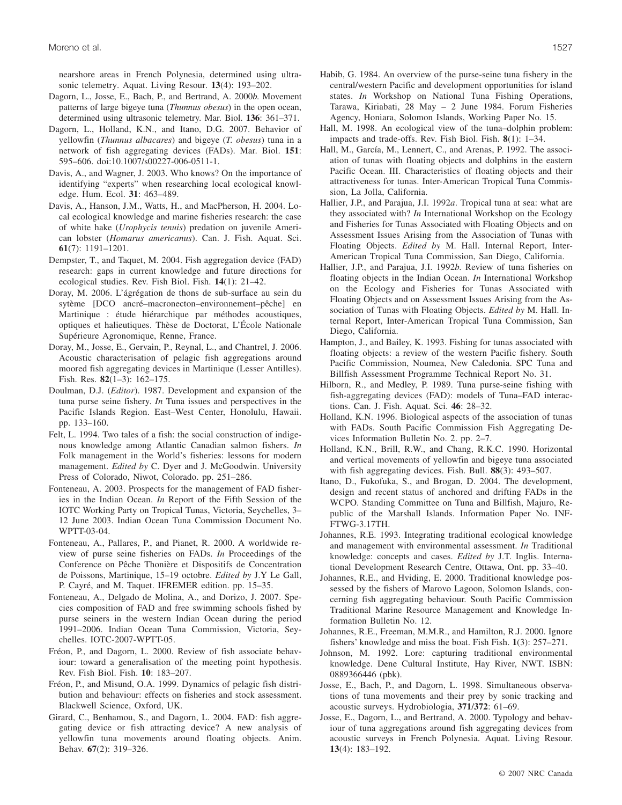nearshore areas in French Polynesia, determined using ultrasonic telemetry. Aquat. Living Resour. **13**(4): 193–202.

- Dagorn, L., Josse, E., Bach, P., and Bertrand, A. 2000*b*. Movement patterns of large bigeye tuna (*Thunnus obesus*) in the open ocean, determined using ultrasonic telemetry. Mar. Biol. **136**: 361–371.
- Dagorn, L., Holland, K.N., and Itano, D.G. 2007. Behavior of yellowfin (*Thunnus albacares*) and bigeye (*T. obesus*) tuna in a network of fish aggregating devices (FADs). Mar. Biol. **151**: 595–606. doi:10.1007/s00227-006-0511-1.
- Davis, A., and Wagner, J. 2003. Who knows? On the importance of identifying "experts" when researching local ecological knowledge. Hum. Ecol. **31**: 463–489.
- Davis, A., Hanson, J.M., Watts, H., and MacPherson, H. 2004. Local ecological knowledge and marine fisheries research: the case of white hake (*Urophycis tenuis*) predation on juvenile American lobster (*Homarus americanus*). Can. J. Fish. Aquat. Sci. **61**(7): 1191–1201.
- Dempster, T., and Taquet, M. 2004. Fish aggregation device (FAD) research: gaps in current knowledge and future directions for ecological studies. Rev. Fish Biol. Fish. **14**(1): 21–42.
- Doray, M. 2006. L'ágrégation de thons de sub-surface au sein du sytème [DCO ancré–macronecton–environnement–pêche] en Martinique : étude hiérarchique par méthodes acoustiques, optiques et halieutiques. Thèse de Doctorat, L'École Nationale Supérieure Agronomique, Renne, France.
- Doray, M., Josse, E., Gervain, P., Reynal, L., and Chantrel, J. 2006. Acoustic characterisation of pelagic fish aggregations around moored fish aggregating devices in Martinique (Lesser Antilles). Fish. Res. **82**(1–3): 162–175.
- Doulman, D.J. (*Editor*). 1987. Development and expansion of the tuna purse seine fishery. *In* Tuna issues and perspectives in the Pacific Islands Region. East–West Center, Honolulu, Hawaii. pp. 133–160.
- Felt, L. 1994. Two tales of a fish: the social construction of indigenous knowledge among Atlantic Canadian salmon fishers. *In* Folk management in the World's fisheries: lessons for modern management. *Edited by* C. Dyer and J. McGoodwin. University Press of Colorado, Niwot, Colorado. pp. 251–286.
- Fonteneau, A. 2003. Prospects for the management of FAD fisheries in the Indian Ocean. *In* Report of the Fifth Session of the IOTC Working Party on Tropical Tunas, Victoria, Seychelles, 3– 12 June 2003. Indian Ocean Tuna Commission Document No. WPTT-03-04.
- Fonteneau, A., Pallares, P., and Pianet, R. 2000. A worldwide review of purse seine fisheries on FADs. *In* Proceedings of the Conference on Pêche Thonière et Dispositifs de Concentration de Poissons, Martinique, 15–19 octobre. *Edited by* J.Y Le Gall, P. Cayré, and M. Taquet. IFREMER edition. pp. 15–35.
- Fonteneau, A., Delgado de Molina, A., and Dorizo, J. 2007. Species composition of FAD and free swimming schools fished by purse seiners in the western Indian Ocean during the period 1991–2006. Indian Ocean Tuna Commission, Victoria, Seychelles. IOTC-2007-WPTT-05.
- Fréon, P., and Dagorn, L. 2000. Review of fish associate behaviour: toward a generalisation of the meeting point hypothesis. Rev. Fish Biol. Fish. **10**: 183–207.
- Fréon, P., and Misund, O.A. 1999. Dynamics of pelagic fish distribution and behaviour: effects on fisheries and stock assessment. Blackwell Science, Oxford, UK.
- Girard, C., Benhamou, S., and Dagorn, L. 2004. FAD: fish aggregating device or fish attracting device? A new analysis of yellowfin tuna movements around floating objects. Anim. Behav. **67**(2): 319–326.
- Habib, G. 1984. An overview of the purse-seine tuna fishery in the central/western Pacific and development opportunities for island states. *In* Workshop on National Tuna Fishing Operations, Tarawa, Kiriabati, 28 May – 2 June 1984. Forum Fisheries Agency, Honiara, Solomon Islands, Working Paper No. 15.
- Hall, M. 1998. An ecological view of the tuna–dolphin problem: impacts and trade-offs. Rev. Fish Biol. Fish. **8**(1): 1–34.
- Hall, M., García, M., Lennert, C., and Arenas, P. 1992. The association of tunas with floating objects and dolphins in the eastern Pacific Ocean. III. Characteristics of floating objects and their attractiveness for tunas. Inter-American Tropical Tuna Commission, La Jolla, California.
- Hallier, J.P., and Parajua, J.I. 1992*a*. Tropical tuna at sea: what are they associated with? *In* International Workshop on the Ecology and Fisheries for Tunas Associated with Floating Objects and on Assessment Issues Arising from the Association of Tunas with Floating Objects. *Edited by* M. Hall. Internal Report, Inter-American Tropical Tuna Commission, San Diego, California.
- Hallier, J.P., and Parajua, J.I. 1992*b*. Review of tuna fisheries on floating objects in the Indian Ocean. *In* International Workshop on the Ecology and Fisheries for Tunas Associated with Floating Objects and on Assessment Issues Arising from the Association of Tunas with Floating Objects. *Edited by* M. Hall. Internal Report, Inter-American Tropical Tuna Commission, San Diego, California.
- Hampton, J., and Bailey, K. 1993. Fishing for tunas associated with floating objects: a review of the western Pacific fishery. South Pacific Commission, Noumea, New Caledonia. SPC Tuna and Billfish Assessment Programme Technical Report No. 31.
- Hilborn, R., and Medley, P. 1989. Tuna purse-seine fishing with fish-aggregating devices (FAD): models of Tuna–FAD interactions. Can. J. Fish. Aquat. Sci. **46**: 28–32.
- Holland, K.N. 1996. Biological aspects of the association of tunas with FADs. South Pacific Commission Fish Aggregating Devices Information Bulletin No. 2. pp. 2–7.
- Holland, K.N., Brill, R.W., and Chang, R.K.C. 1990. Horizontal and vertical movements of yellowfin and bigeye tuna associated with fish aggregating devices. Fish. Bull. **88**(3): 493–507.
- Itano, D., Fukofuka, S., and Brogan, D. 2004. The development, design and recent status of anchored and drifting FADs in the WCPO. Standing Committee on Tuna and Billfish, Majuro, Republic of the Marshall Islands. Information Paper No. INF-FTWG-3.17TH.
- Johannes, R.E. 1993. Integrating traditional ecological knowledge and management with environmental assessment. *In* Traditional knowledge: concepts and cases. *Edited by* J.T. Inglis. International Development Research Centre, Ottawa, Ont. pp. 33–40.
- Johannes, R.E., and Hviding, E. 2000. Traditional knowledge possessed by the fishers of Marovo Lagoon, Solomon Islands, concerning fish aggregating behaviour. South Pacific Commission Traditional Marine Resource Management and Knowledge Information Bulletin No. 12.
- Johannes, R.E., Freeman, M.M.R., and Hamilton, R.J. 2000. Ignore fishers' knowledge and miss the boat. Fish Fish. **1**(3): 257–271.
- Johnson, M. 1992. Lore: capturing traditional environmental knowledge. Dene Cultural Institute, Hay River, NWT. ISBN: 0889366446 (pbk).
- Josse, E., Bach, P., and Dagorn, L. 1998. Simultaneous observations of tuna movements and their prey by sonic tracking and acoustic surveys. Hydrobiologia, **371**/**372**: 61–69.
- Josse, E., Dagorn, L., and Bertrand, A. 2000. Typology and behaviour of tuna aggregations around fish aggregating devices from acoustic surveys in French Polynesia. Aquat. Living Resour. **13**(4): 183–192.